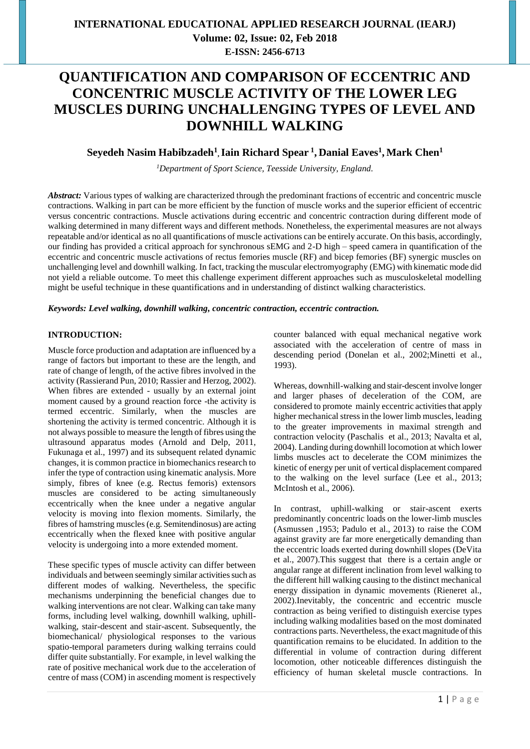**Volume: 02, Issue: 02, Feb 2018 E-ISSN: 2456-6713**

# **QUANTIFICATION AND COMPARISON OF ECCENTRIC AND CONCENTRIC MUSCLE ACTIVITY OF THE LOWER LEG MUSCLES DURING UNCHALLENGING TYPES OF LEVEL AND DOWNHILL WALKING**

### **Seyedeh Nasim Habibzadeh<sup>1</sup> ,Iain Richard Spear <sup>1</sup> , Danial Eaves<sup>1</sup> , Mark Chen<sup>1</sup>**

*<sup>1</sup>Department of Sport Science, Teesside University, England.*

*Abstract:* Various types of walking are characterized through the predominant fractions of eccentric and concentric muscle contractions. Walking in part can be more efficient by the function of muscle works and the superior efficient of eccentric versus concentric contractions. Muscle activations during eccentric and concentric contraction during different mode of walking determined in many different ways and different methods. Nonetheless, the experimental measures are not always repeatable and/or identical as no all quantifications of muscle activations can be entirely accurate. On this basis, accordingly, our finding has provided a critical approach for synchronous sEMG and 2-D high – speed camera in quantification of the eccentric and concentric muscle activations of rectus femories muscle (RF) and bicep femories (BF) synergic muscles on unchallenging level and downhill walking. In fact, tracking the muscular electromyography (EMG) with kinematic mode did not yield a reliable outcome. To meet this challenge experiment different approaches such as musculoskeletal modelling might be useful technique in these quantifications and in understanding of distinct walking characteristics.

*Keywords: Level walking, downhill walking, concentric contraction, eccentric contraction.*

### **INTRODUCTION:**

Muscle force production and adaptation are influenced by a range of factors but important to these are the length, and rate of change of length, of the active fibres involved in the activity (Rassierand Pun, 2010; Rassier and Herzog, 2002). When fibres are extended - usually by an external joint moment caused by a ground reaction force -the activity is termed eccentric. Similarly, when the muscles are shortening the activity is termed concentric. Although it is not always possible to measure the length of fibres using the ultrasound apparatus modes (Arnold and Delp, 2011, Fukunaga et al., 1997) and its subsequent related dynamic changes, it is common practice in biomechanics research to infer the type of contraction using kinematic analysis. More simply, fibres of knee (e.g. Rectus femoris) extensors muscles are considered to be acting simultaneously eccentrically when the knee under a negative angular velocity is moving into flexion moments. Similarly, the fibres of hamstring muscles (e.g. Semitendinosus) are acting eccentrically when the flexed knee with positive angular velocity is undergoing into a more extended moment.

These specific types of muscle activity can differ between individuals and between seemingly similar activities such as different modes of walking. Nevertheless, the specific mechanisms underpinning the beneficial changes due to walking interventions are not clear. Walking can take many forms, including level walking, downhill walking, uphillwalking, stair-descent and stair-ascent. Subsequently, the biomechanical/ physiological responses to the various spatio-temporal parameters during walking terrains could differ quite substantially. For example, in level walking the rate of positive mechanical work due to the acceleration of centre of mass (COM) in ascending moment is respectively

counter balanced with equal mechanical negative work associated with the acceleration of centre of mass in descending period (Donelan et al., 2002;Minetti et al., 1993).

Whereas, downhill-walking and stair-descent involve longer and larger phases of deceleration of the COM, are considered to promote mainly eccentric activities that apply higher mechanical stress in the lower limb muscles, leading to the greater improvements in maximal strength and contraction velocity (Paschalis et al., 2013; Navalta et al, 2004). Landing during downhill locomotion at which lower limbs muscles act to decelerate the COM minimizes the kinetic of energy per unit of vertical displacement compared to the walking on the level surface (Lee et al., 2013; McIntosh et al., 2006).

In contrast, uphill-walking or stair-ascent exerts predominantly concentric loads on the lower-limb muscles (Asmussen ,1953; Padulo et al., 2013) to raise the COM against gravity are far more energetically demanding than the eccentric loads exerted during downhill slopes (DeVita et al., 2007).This suggest that there is a certain angle or angular range at different inclination from level walking to the different hill walking causing to the distinct mechanical energy dissipation in dynamic movements (Rieneret al., 2002).Inevitably, the concentric and eccentric muscle contraction as being verified to distinguish exercise types including walking modalities based on the most dominated contractions parts. Nevertheless, the exact magnitude of this quantification remains to be elucidated. In addition to the differential in volume of contraction during different locomotion, other noticeable differences distinguish the efficiency of human skeletal muscle contractions. In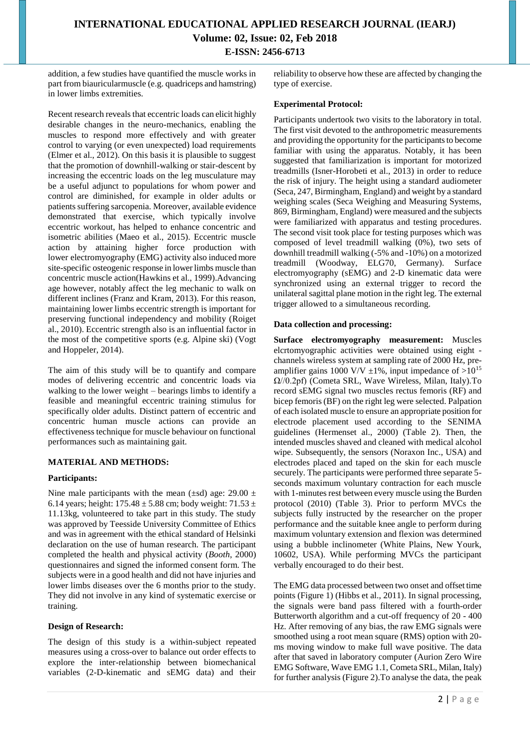addition, a few studies have quantified the muscle works in part from biauricularmuscle (e.g. quadriceps and hamstring) in lower limbs extremities.

Recent research reveals that eccentric loads can elicit highly desirable changes in the neuro-mechanics, enabling the muscles to respond more effectively and with greater control to varying (or even unexpected) load requirements (Elmer et al., 2012). On this basis it is plausible to suggest that the promotion of downhill-walking or stair-descent by increasing the eccentric loads on the leg musculature may be a useful adjunct to populations for whom power and control are diminished, for example in older adults or patients suffering sarcopenia. Moreover, available evidence demonstrated that exercise, which typically involve eccentric workout, has helped to enhance concentric and isometric abilities [\(Maeo](http://www.ncbi.nlm.nih.gov/pubmed/?term=Maeo%20S%5BAuthor%5D&cauthor=true&cauthor_uid=25285470) et al., 2015). Eccentric muscle action by attaining higher force production with lower electromyography (EMG) activity also induced more site-specific osteogenic response in lower limbs muscle than concentric muscle action[\(Hawkins e](http://www.ncbi.nlm.nih.gov/pubmed/?term=Hawkins%20SA%5BAuthor%5D&cauthor=true&cauthor_uid=10487370)t al., 1999).Advancing age however, notably affect the leg mechanic to walk on different inclines [\(Franz](http://www.ncbi.nlm.nih.gov/pubmed/?term=Franz%20JR%5Bauth%5D) and [Kram,](http://www.ncbi.nlm.nih.gov/pubmed/?term=Kram%20R%5Bauth%5D) 2013). For this reason, maintaining lower limbs eccentric strength is important for preserving functional independency and mobility [\(Roige](http://www.ncbi.nlm.nih.gov/pubmed/?term=Roig%20M%5BAuthor%5D&cauthor=true&cauthor_uid=20303404)t al., 2010). Eccentric strength also is an influential factor in the most of the competitive sports (e.g. Alpine ski) [\(Vogt](https://www.ncbi.nlm.nih.gov/pubmed/?term=Vogt%20M%5BAuthor%5D&cauthor=true&cauthor_uid=24505103)  and [Hoppeler,](https://www.ncbi.nlm.nih.gov/pubmed/?term=Hoppeler%20HH%5BAuthor%5D&cauthor=true&cauthor_uid=24505103) 2014).

The aim of this study will be to quantify and compare modes of delivering eccentric and concentric loads via walking to the lower weight – bearings limbs to identify a feasible and meaningful eccentric training stimulus for specifically older adults. Distinct pattern of eccentric and concentric human muscle actions can provide an effectiveness technique for muscle behaviour on functional performances such as maintaining gait.

### **MATERIAL AND METHODS:**

#### **Participants:**

Nine male participants with the mean ( $\pm$ sd) age: 29.00  $\pm$ 6.14 years; height:  $175.48 \pm 5.88$  cm; body weight:  $71.53 \pm 1.53$ 11.13kg, volunteered to take part in this study. The study was approved by Teesside University Committee of Ethics and was in agreement with the ethical standard of Helsinki declaration on the use of human research. The participant completed the health and physical activity (*Booth*, 2000) questionnaires and signed the informed consent form. The subjects were in a good health and did not have injuries and lower limbs diseases over the 6 months prior to the study. They did not involve in any kind of systematic exercise or training.

### **Design of Research:**

The design of this study is a within-subject repeated measures using a cross-over to balance out order effects to explore the inter-relationship between biomechanical variables (2-D-kinematic and sEMG data) and their

reliability to observe how these are affected by changing the type of exercise.

#### **Experimental Protocol:**

Participants undertook two visits to the laboratory in total. The first visit devoted to the anthropometric measurements and providing the opportunity for the participants to become familiar with using the apparatus. Notably, it has been suggested that familiarization is important for motorized treadmills (Isner-Horobeti et al., 2013) in order to reduce the risk of injury. The height using a standard audiometer (Seca, 247, Birmingham, England) and weight by a standard weighing scales (Seca Weighing and Measuring Systems, 869, Birmingham, England) were measured and the subjects were familiarized with apparatus and testing procedures. The second visit took place for testing purposes which was composed of level treadmill walking (0%), two sets of downhill treadmill walking (-5% and -10%) on a motorized treadmill (Woodway, ELG70, Germany). Surface electromyography (sEMG) and 2-D kinematic data were synchronized using an external trigger to record the unilateral sagittal plane motion in the right leg. The external trigger allowed to a simultaneous recording.

#### **Data collection and processing:**

**Surface electromyography measurement:** Muscles elcrtomyographic activities were obtained using eight channels wireless system at sampling rate of 2000 Hz, preamplifier gains 1000 V/V  $\pm$ 1%, input impedance of  $>10^{15}$ Ω//0.2pf) (Cometa SRL, Wave Wireless, Milan, Italy).To record sEMG signal two muscles rectus femoris (RF) and bicep femoris (BF) on the right leg were selected. Palpation of each isolated muscle to ensure an appropriate position for electrode placement used according to the SENIMA guidelines [\(Hermense](http://www.ncbi.nlm.nih.gov/pubmed/?term=Hermens%20HJ%5BAuthor%5D&cauthor=true&cauthor_uid=11018445)t al., 2000) (Table 2). Then, the intended muscles shaved and cleaned with medical alcohol wipe. Subsequently, the sensors (Noraxon Inc., USA) and electrodes placed and taped on the skin for each muscle securely. The participants were performed three separate 5 seconds maximum voluntary contraction for each muscle with 1-minutes rest between every muscle using the Burden protocol (2010) (Table 3). Prior to perform MVCs the subjects fully instructed by the researcher on the proper performance and the suitable knee angle to perform during maximum voluntary extension and flexion was determined using a bubble inclinometer (White Plains, New Yourk, 10602, USA). While performing MVCs the participant verbally encouraged to do their best.

The EMG data processed between two onset and offset time points (Figure 1) (Hibbs et al., 2011). In signal processing, the signals were band pass filtered with a fourth-order Butterworth algorithm and a cut-off frequency of 20 - 400 Hz. After removing of any bias, the raw EMG signals were smoothed using a root mean square (RMS) option with 20 ms moving window to make full wave positive. The data after that saved in laboratory computer (Aurion Zero Wire EMG Software, Wave EMG 1.1, Cometa SRL, Milan, Italy) for further analysis (Figure 2).To analyse the data, the peak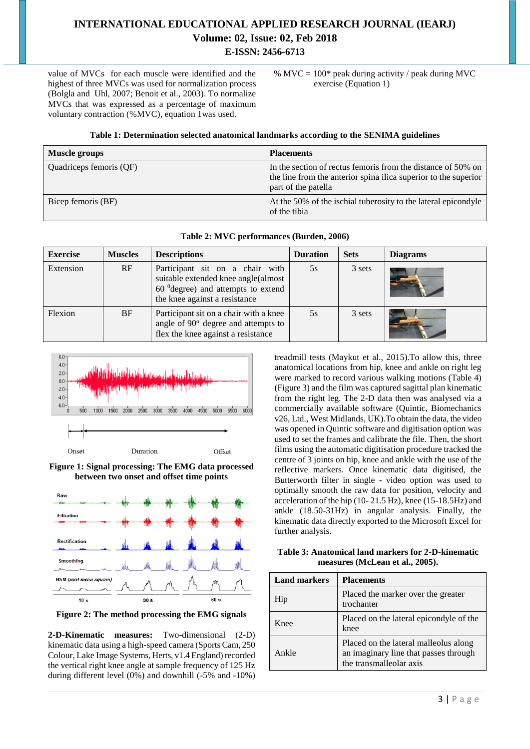value of MVCs for each muscle were identified and the highest of three MVCs was used for normalization process [\(Bolgla](http://www.ncbi.nlm.nih.gov/pubmed/?term=Bolgla%20LA%5BAuthor%5D&cauthor=true&cauthor_uid=16423539) and [Uhl,](http://www.ncbi.nlm.nih.gov/pubmed/?term=Uhl%20TL%5BAuthor%5D&cauthor=true&cauthor_uid=16423539) 2007; Benoit et al., 2003). To normalize MVCs that was expressed as a percentage of maximum voluntary contraction (%MVC), equation 1was used.

%  $MVC = 100*$  peak during activity / peak during MVC exercise (Equation 1)

#### **Table 1: Determination selected anatomical landmarks according to the SENIMA guidelines**

| Muscle groups           | <b>Placements</b>                                                                                                                                      |
|-------------------------|--------------------------------------------------------------------------------------------------------------------------------------------------------|
| Quadriceps femoris (QF) | In the section of rectus femoris from the distance of 50% on<br>the line from the anterior spina ilica superior to the superior<br>part of the patella |
| Bicep femoris (BF)      | At the 50% of the ischial tuberosity to the lateral epicondyle<br>of the tibia                                                                         |

|  | Table 2: MVC performances (Burden, 2006) |  |  |
|--|------------------------------------------|--|--|
|--|------------------------------------------|--|--|

| <b>Exercise</b> | <b>Muscles</b> | <b>Descriptions</b>                                                                                                                             | <b>Duration</b> | <b>Sets</b> | <b>Diagrams</b> |
|-----------------|----------------|-------------------------------------------------------------------------------------------------------------------------------------------------|-----------------|-------------|-----------------|
| Extension       | RF             | Participant sit on a chair with<br>suitable extended knee angle(almost<br>$600$ degree) and attempts to extend<br>the knee against a resistance | 5s              | 3 sets      |                 |
| Flexion         | BF             | Participant sit on a chair with a knee<br>angle of $90^\circ$ degree and attempts to<br>flex the knee against a resistance                      | 5s              | 3 sets      |                 |



**Figure 1: Signal processing: The EMG data processed between two onset and offset time points**



**Figure 2: The method processing the EMG signals**

**2-D-Kinematic measures:** Two-dimensional (2-D) kinematic data using a high-speed camera (Sports Cam, 250 Colour, Lake Image Systems, Herts, v1.4 England) recorded the vertical right knee angle at sample frequency of 125 Hz during different level (0%) and downhill (-5% and -10%) treadmill tests (Maykut et al., 2015).To allow this, three anatomical locations from hip, knee and ankle on right leg were marked to record various walking motions (Table 4) (Figure 3) and the film was captured sagittal plan kinematic from the right leg. The 2-D data then was analysed via a commercially available software (Quintic, Biomechanics v26, Ltd., West Midlands, UK).To obtain the data, the video was opened in Quintic software and digitisation option was used to set the frames and calibrate the file. Then, the short films using the automatic digitisation procedure tracked the centre of 3 joints on hip, knee and ankle with the use of the reflective markers. Once kinematic data digitised, the Butterworth filter in single - video option was used to optimally smooth the raw data for position, velocity and acceleration of the hip (10- 21.5 Hz), knee (15-18.5Hz) and ankle (18.50-31Hz) in angular analysis. Finally, the kinematic data directly exported to the Microsoft Excel for further analysis.

**Table 3: Anatomical land markers for 2-D-kinematic measures (McLean et al., 2005).**

| <b>Land markers</b> | <b>Placements</b>                                                                                         |
|---------------------|-----------------------------------------------------------------------------------------------------------|
| Hip                 | Placed the marker over the greater<br>trochanter                                                          |
| Knee                | Placed on the lateral epicondyle of the<br>knee                                                           |
| Ankle               | Placed on the lateral malleolus along<br>an imaginary line that passes through<br>the transmalleolar axis |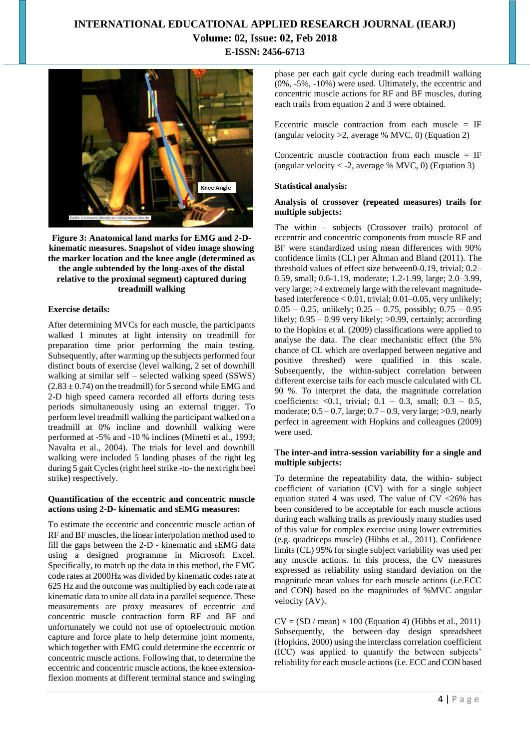

**Figure 3: Anatomical land marks for EMG and 2-Dkinematic measures. Snapshot of video image showing the marker location and the knee angle (determined as the angle subtended by the long-axes of the distal relative to the proximal segment) captured during treadmill walking**

#### **Exercise details:**

After determining MVCs for each muscle, the participants walked 1 minutes at light intensity on treadmill for preparation time prior performing the main testing. Subsequently, after warming up the subjects performed four distinct bouts of exercise (level walking, 2 set of downhill walking at similar self – selected walking speed (SSWS)  $(2.83 \pm 0.74)$  on the treadmill) for 5 second while EMG and 2-D high speed camera recorded all efforts during tests periods simultaneously using an external trigger. To perform level treadmill walking the participant walked on a treadmill at 0% incline and downhill walking were performed at -5% and -10 % inclines (Minetti et al., 1993; Navalta et al., 2004). The trials for level and downhill walking were included 5 landing phases of the right leg during 5 gait Cycles (right heel strike -to- the next right heel strike) respectively.

#### **Quantification of the eccentric and concentric muscle actions using 2-D- kinematic and sEMG measures:**

To estimate the eccentric and concentric muscle action of RF and BF muscles, the linear interpolation method used to fill the gaps between the 2-D - kinematic and sEMG data using a designed programme in Microsoft Excel. Specifically, to match up the data in this method, the EMG code rates at 2000Hz was divided by kinematic codes rate at 625 Hz and the outcome was multiplied by each code rate at kinematic data to unite all data in a parallel sequence. These measurements are proxy measures of eccentric and concentric muscle contraction form RF and BF and unfortunately we could not use of optoelectronic motion capture and force plate to help determine joint moments, which together with EMG could determine the eccentric or concentric muscle actions. Following that, to determine the eccentric and concentric muscle actions, the knee extensionflexion moments at different terminal stance and swinging

phase per each gait cycle during each treadmill walking (0%, -5%, -10%) were used. Ultimately, the eccentric and concentric muscle actions for RF and BF muscles, during each trails from equation 2 and 3 were obtained.

Eccentric muscle contraction from each muscle  $=$  IF (angular velocity  $>2$ , average % MVC, 0) (Equation 2)

Concentric muscle contraction from each muscle  $=$  IF (angular velocity  $\langle$  -2, average % MVC, 0) (Equation 3)

#### **Statistical analysis:**

#### **Analysis of crossover (repeated measures) trails for multiple subjects:**

The within – subjects (Crossover trails) protocol of eccentric and concentric components from muscle RF and BF were standardized using mean differences with 90% confidence limits (CL) per Altman and Bland (2011). The threshold values of effect size between0-0.19, trivial; 0.2– 0.59, small; 0.6-1.19, moderate; 1.2-1.99, large; 2.0–3.99, very large; >4 extremely large with the relevant magnitudebased interference < 0.01, trivial; 0.01–0.05, very unlikely;  $0.05 - 0.25$ , unlikely;  $0.25 - 0.75$ , possibly;  $0.75 - 0.95$ likely;  $0.95 - 0.99$  very likely;  $>0.99$ , certainly; according to the Hopkins et al. (2009) classifications were applied to analyse the data. The clear mechanistic effect (the 5% chance of CL which are overlapped between negative and positive threshed) were qualified in this scale. Subsequently, the within-subject correlation between different exercise tails for each muscle calculated with CL 90 %. To interpret the data, the magnitude correlation coefficients: <0.1, trivial;  $0.1 - 0.3$ , small;  $0.3 - 0.5$ , moderate;  $0.5 - 0.7$ , large;  $0.7 - 0.9$ , very large;  $>0.9$ , nearly perfect in agreement with Hopkins and colleagues (2009) were used.

#### **The inter-and intra-session variability for a single and multiple subjects:**

To determine the repeatability data, the within- subject coefficient of variation (CV) with for a single subject equation stated 4 was used. The value of  $CV < 26\%$  has been considered to be acceptable for each muscle actions during each walking trails as previously many studies used of this value for complex exercise using lower extremities (e.g. quadriceps muscle) (Hibbs et al., 2011). Confidence limits (CL) 95% for single subject variability was used per any muscle actions. In this process, the CV measures expressed as reliability using standard deviation on the magnitude mean values for each muscle actions (i.e.ECC and CON) based on the magnitudes of %MVC angular velocity (AV).

 $CV = (SD / mean) \times 100$  (Equation 4) (Hibbs et al., 2011) Subsequently, the between–day design spreadsheet (Hopkins, 2000) using the interclass correlation coefficient (ICC) was applied to quantify the between subjects' reliability for each muscle actions(i.e. ECC and CON based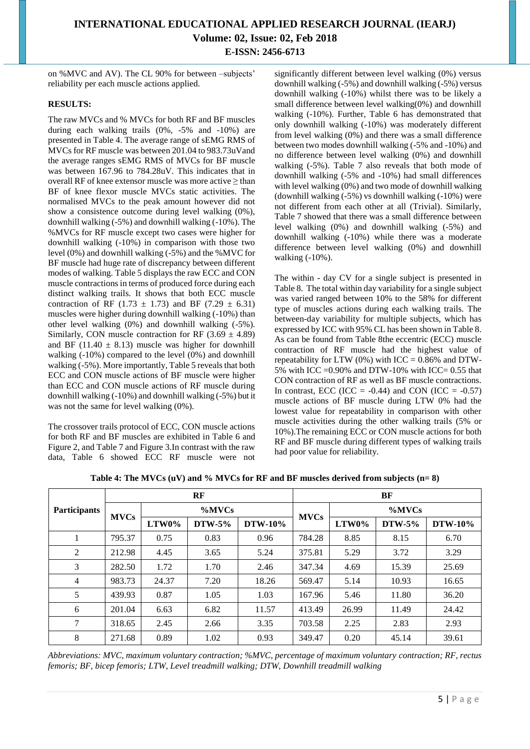# **INTERNATIONAL EDUCATIONAL APPLIED RESEARCH JOURNAL (IEARJ)**

**Volume: 02, Issue: 02, Feb 2018 E-ISSN: 2456-6713**

on %MVC and AV). The CL 90% for between –subjects' reliability per each muscle actions applied.

### **RESULTS:**

The raw MVCs and % MVCs for both RF and BF muscles during each walking trails (0%, -5% and -10%) are presented in Table 4. The average range of sEMG RMS of MVCs for RF muscle was between 201.04 to 983.73uVand the average ranges sEMG RMS of MVCs for BF muscle was between 167.96 to 784.28uV. This indicates that in overall RF of knee extensor muscle was more active  $\geq$  than BF of knee flexor muscle MVCs static activities. The normalised MVCs to the peak amount however did not show a consistence outcome during level walking (0%), downhill walking (-5%) and downhill walking (-10%). The %MVCs for RF muscle except two cases were higher for downhill walking (-10%) in comparison with those two level (0%) and downhill walking (-5%) and the %MVC for BF muscle had huge rate of discrepancy between different modes of walking. Table 5 displays the raw ECC and CON muscle contractions in terms of produced force during each distinct walking trails. It shows that both ECC muscle contraction of RF (1.73  $\pm$  1.73) and BF (7.29  $\pm$  6.31) muscles were higher during downhill walking (-10%) than other level walking (0%) and downhill walking (-5%). Similarly, CON muscle contraction for RF  $(3.69 \pm 4.89)$ and BF (11.40  $\pm$  8.13) muscle was higher for downhill walking  $(-10\%)$  compared to the level  $(0\%)$  and downhill walking (-5%). More importantly, Table 5 reveals that both ECC and CON muscle actions of BF muscle were higher than ECC and CON muscle actions of RF muscle during downhill walking (-10%) and downhill walking (-5%) but it was not the same for level walking (0%).

The crossover trails protocol of ECC, CON muscle actions for both RF and BF muscles are exhibited in Table 6 and Figure 2, and Table 7 and Figure 3.In contrast with the raw data, Table 6 showed ECC RF muscle were not significantly different between level walking (0%) versus downhill walking (-5%) and downhill walking (-5%) versus downhill walking (-10%) whilst there was to be likely a small difference between level walking $(0\%)$  and downhill walking (-10%). Further, Table 6 has demonstrated that only downhill walking (-10%) was moderately different from level walking (0%) and there was a small difference between two modes downhill walking (-5% and -10%) and no difference between level walking (0%) and downhill walking (-5%). Table 7 also reveals that both mode of downhill walking (-5% and -10%) had small differences with level walking (0%) and two mode of downhill walking (downhill walking (-5%) vs downhill walking (-10%) were not different from each other at all (Trivial). Similarly, Table 7 showed that there was a small difference between level walking (0%) and downhill walking (-5%) and downhill walking (-10%) while there was a moderate difference between level walking (0%) and downhill walking (-10%).

The within - day CV for a single subject is presented in Table 8. The total within day variability for a single subject was varied ranged between 10% to the 58% for different type of muscles actions during each walking trails. The between-day variability for multiple subjects, which has expressed by ICC with 95% CL has been shown in Table 8. As can be found from Table 8the eccentric (ECC) muscle contraction of RF muscle had the highest value of repeatability for LTW (0%) with ICC =  $0.86\%$  and DTW-5% with ICC =  $0.90\%$  and DTW-10% with ICC =  $0.55$  that CON contraction of RF as well as BF muscle contractions. In contrast, ECC (ICC =  $-0.44$ ) and CON (ICC =  $-0.57$ ) muscle actions of BF muscle during LTW 0% had the lowest value for repeatability in comparison with other muscle activities during the other walking trails (5% or 10%).The remaining ECC or CON muscle actions for both RF and BF muscle during different types of walking trails had poor value for reliability.

|                     | $\bf RF$    |           |          | BF             |             |       |          |                |
|---------------------|-------------|-----------|----------|----------------|-------------|-------|----------|----------------|
| <b>Participants</b> |             | $\%$ MVCs |          |                |             | %MVCs |          |                |
|                     | <b>MVCs</b> | LTW0%     | $DTW-5%$ | <b>DTW-10%</b> | <b>MVCs</b> | LTW0% | $DTW-5%$ | <b>DTW-10%</b> |
| 1                   | 795.37      | 0.75      | 0.83     | 0.96           | 784.28      | 8.85  | 8.15     | 6.70           |
| 2                   | 212.98      | 4.45      | 3.65     | 5.24           | 375.81      | 5.29  | 3.72     | 3.29           |
| 3                   | 282.50      | 1.72      | 1.70     | 2.46           | 347.34      | 4.69  | 15.39    | 25.69          |
| $\overline{4}$      | 983.73      | 24.37     | 7.20     | 18.26          | 569.47      | 5.14  | 10.93    | 16.65          |
| 5                   | 439.93      | 0.87      | 1.05     | 1.03           | 167.96      | 5.46  | 11.80    | 36.20          |
| 6                   | 201.04      | 6.63      | 6.82     | 11.57          | 413.49      | 26.99 | 11.49    | 24.42          |
| 7                   | 318.65      | 2.45      | 2.66     | 3.35           | 703.58      | 2.25  | 2.83     | 2.93           |
| 8                   | 271.68      | 0.89      | 1.02     | 0.93           | 349.47      | 0.20  | 45.14    | 39.61          |

**Table 4: The MVCs (uV) and % MVCs for RF and BF muscles derived from subjects (n= 8)**

*Abbreviations: MVC, maximum voluntary contraction; %MVC, percentage of maximum voluntary contraction; RF, rectus femoris; BF, bicep femoris; LTW, Level treadmill walking; DTW, Downhill treadmill walking*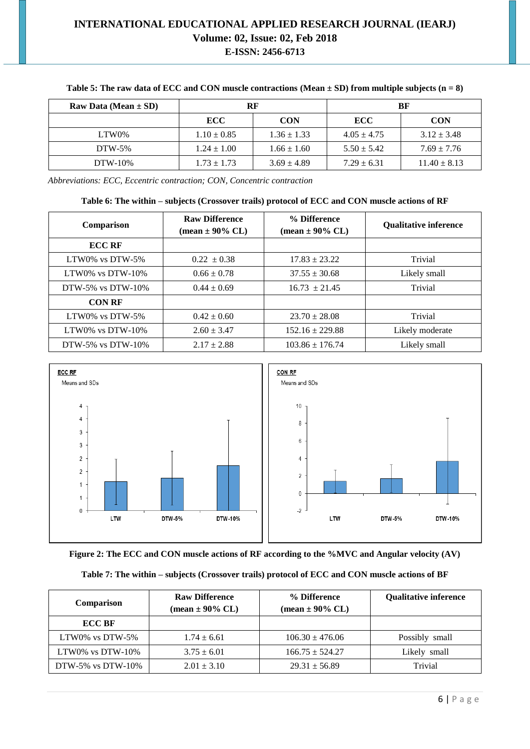| Raw Data (Mean $\pm$ SD) | RF              |                 |                 |                  |  | BF |
|--------------------------|-----------------|-----------------|-----------------|------------------|--|----|
|                          | <b>ECC</b>      | <b>CON</b>      | <b>ECC</b>      | <b>CON</b>       |  |    |
| LTW0%                    | $1.10 \pm 0.85$ | $1.36 \pm 1.33$ | $4.05 \pm 4.75$ | $3.12 \pm 3.48$  |  |    |
| $DTW-5%$                 | $1.24 \pm 1.00$ | $1.66 \pm 1.60$ | $5.50 \pm 5.42$ | $7.69 \pm 7.76$  |  |    |
| $DTW-10\%$               | $1.73 \pm 1.73$ | $3.69 \pm 4.89$ | $7.29 \pm 6.31$ | $11.40 \pm 8.13$ |  |    |

### **Table 5: The raw data of ECC and CON muscle contractions (Mean ± SD) from multiple subjects (n = 8)**

*Abbreviations: ECC, Eccentric contraction; CON, Concentric contraction*

#### **Table 6: The within – subjects (Crossover trails) protocol of ECC and CON muscle actions of RF**

| Comparison         | <b>Raw Difference</b><br>$(\text{mean} \pm 90\% \text{ CL})$ | % Difference<br>$(\text{mean} \pm 90\% \text{ CL})$ | <b>Qualitative inference</b> |
|--------------------|--------------------------------------------------------------|-----------------------------------------------------|------------------------------|
| <b>ECC RF</b>      |                                                              |                                                     |                              |
| LTW0% vs DTW-5%    | $0.22 \pm 0.38$                                              | $17.83 \pm 23.22$                                   | Trivial                      |
| LTW0% vs $DTW-10%$ | $0.66 \pm 0.78$                                              | $37.55 \pm 30.68$                                   | Likely small                 |
| DTW-5% vs DTW-10%  | $0.44 \pm 0.69$                                              | $16.73 \pm 21.45$                                   | Trivial                      |
| <b>CON RF</b>      |                                                              |                                                     |                              |
| LTW0% vs DTW-5%    | $0.42 \pm 0.60$                                              | $23.70 \pm 28.08$                                   | Trivial                      |
| LTW0% vs $DTW-10%$ | $2.60 \pm 3.47$                                              | $152.16 \pm 229.88$                                 | Likely moderate              |
| DTW-5% vs DTW-10%  | $2.17 \pm 2.88$                                              | $103.86 \pm 176.74$                                 | Likely small                 |



**Figure 2: The ECC and CON muscle actions of RF according to the %MVC and Angular velocity (AV)**

### **Table 7: The within – subjects (Crossover trails) protocol of ECC and CON muscle actions of BF**

| Comparison           | <b>Raw Difference</b><br>$(\text{mean} \pm 90\% \text{ CL})$ | % Difference<br>$(\text{mean} \pm 90\% \text{ CL})$ | <b>Qualitative inference</b> |
|----------------------|--------------------------------------------------------------|-----------------------------------------------------|------------------------------|
| <b>ECC BF</b>        |                                                              |                                                     |                              |
| LTW0% vs $DTW-5%$    | $1.74 \pm 6.61$                                              | $106.30 \pm 476.06$                                 | Possibly small               |
| LTW0% vs DTW- $10\%$ | $3.75 \pm 6.01$                                              | $166.75 \pm 524.27$                                 | Likely small                 |
| DTW-5% vs DTW-10%    | $2.01 \pm 3.10$                                              | $29.31 \pm 56.89$                                   | Trivial                      |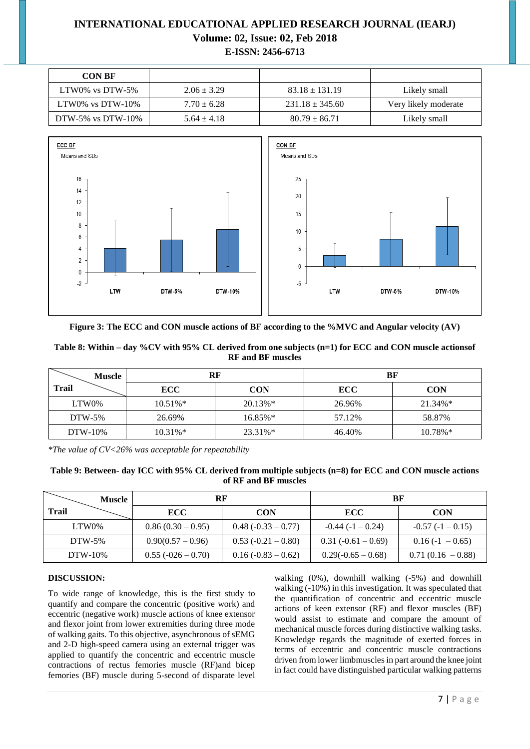| <b>CON BF</b>        |                 |                     |                      |
|----------------------|-----------------|---------------------|----------------------|
| LTW0% vs DTW-5%      | $2.06 \pm 3.29$ | $83.18 \pm 131.19$  | Likely small         |
| LTW0% vs DTW- $10\%$ | $7.70 \pm 6.28$ | $231.18 \pm 345.60$ | Very likely moderate |
| DTW-5% vs DTW-10%    | $5.64 \pm 4.18$ | $80.79 \pm 86.71$   | Likely small         |



**Figure 3: The ECC and CON muscle actions of BF according to the %MVC and Angular velocity (AV)**

| Table 8: Within – day %CV with 95% CL derived from one subjects $(n=1)$ for ECC and CON muscle actions of |
|-----------------------------------------------------------------------------------------------------------|
| <b>RF</b> and <b>BF</b> muscles                                                                           |

| <b>Muscle</b>  | RF          |            |            | BF         |
|----------------|-------------|------------|------------|------------|
| <b>Trail</b>   | <b>ECC</b>  | <b>CON</b> | <b>ECC</b> | <b>CON</b> |
| LTW0%          | $10.51\%$ * | $20.13\%*$ | 26.96%     | $21.34\%*$ |
| $DTW-5%$       | 26.69%      | $16.85\%*$ | 57.12%     | 58.87%     |
| <b>DTW-10%</b> | $10.31\%*$  | 23.31%*    | 46.40%     | $10.78\%*$ |

*\*The value of CV<26% was acceptable for repeatability*

| Table 9: Between- day ICC with 95% CL derived from multiple subjects (n=8) for ECC and CON muscle actions |
|-----------------------------------------------------------------------------------------------------------|
| of RF and BF muscles                                                                                      |

| <b>Muscle</b> | RF                  |                      | BF                    |                     |
|---------------|---------------------|----------------------|-----------------------|---------------------|
| Trail         | <b>ECC</b>          | <b>CON</b>           | <b>ECC</b>            | <b>CON</b>          |
| LTW0%         | $0.86(0.30-0.95)$   | $0.48(-0.33 - 0.77)$ | $-0.44(-1-0.24)$      | $-0.57(-1 - 0.15)$  |
| $DTW-5%$      | $0.90(0.57 - 0.96)$ | $0.53(-0.21-0.80)$   | $0.31 (-0.61 - 0.69)$ | $0.16(-1 - 0.65)$   |
| DTW-10%       | $0.55(-026-0.70)$   | $0.16(-0.83 - 0.62)$ | $0.29(-0.65-0.68)$    | $0.71(0.16 - 0.88)$ |

### **DISCUSSION:**

To wide range of knowledge, this is the first study to quantify and compare the concentric (positive work) and eccentric (negative work) muscle actions of knee extensor and flexor joint from lower extremities during three mode of walking gaits. To this objective, asynchronous of sEMG and 2-D high-speed camera using an external trigger was applied to quantify the concentric and eccentric muscle contractions of rectus femories muscle (RF)and bicep femories (BF) muscle during 5-second of disparate level walking (0%), downhill walking (-5%) and downhill walking (-10%) in this investigation. It was speculated that the quantification of concentric and eccentric muscle actions of keen extensor (RF) and flexor muscles (BF) would assist to estimate and compare the amount of mechanical muscle forces during distinctive walking tasks. Knowledge regards the magnitude of exerted forces in terms of eccentric and concentric muscle contractions driven from lower limbmuscles in part around the knee joint in fact could have distinguished particular walking patterns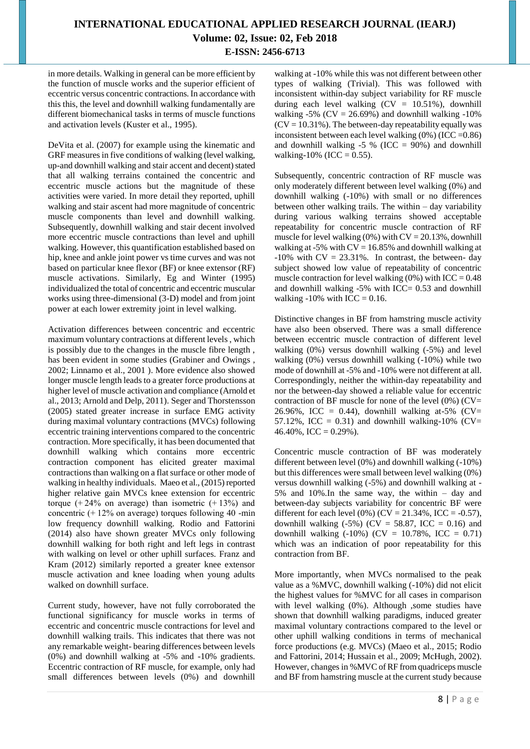in more details. Walking in general can be more efficient by the function of muscle works and the superior efficient of eccentric versus concentric contractions. In accordance with this this, the level and downhill walking fundamentally are different biomechanical tasks in terms of muscle functions and activation levels (Kuster et al., 1995).

DeVita et al. (2007) for example using the kinematic and GRF measures in five conditions of walking (level walking, up-and downhill walking and stair accent and decent) stated that all walking terrains contained the concentric and eccentric muscle actions but the magnitude of these activities were varied. In more detail they reported, uphill walking and stair ascent had more magnitude of concentric muscle components than level and downhill walking. Subsequently, downhill walking and stair decent involved more eccentric muscle contractions than level and uphill walking. However, this quantification established based on hip, knee and ankle joint power vs time curves and was not based on particular knee flexor (BF) or knee extensor (RF) muscle activations. Similarly, Eg and Winter (1995) individualized the total of concentric and eccentric muscular works using three-dimensional (3-D) model and from joint power at each lower extremity joint in level walking.

Activation differences between concentric and eccentric maximum voluntary contractions at different levels , which is possibly due to the changes in the muscle fibre length , has been evident in some studies (Grabiner and Owings , 2002; Linnamo et al., 2001 ). More evidence also showed longer muscle length leads to a greater force productions at higher level of muscle activation and compliance (Arnold et al., 2013; Arnold and Delp, 2011). Seger and Thorstensson (2005) stated greater increase in surface EMG activity during maximal voluntary contractions (MVCs) following eccentric training interventions compared to the concentric contraction. More specifically, it has been documented that downhill walking which contains more eccentric contraction component has elicited greater maximal contractions than walking on a flat surface or other mode of walking in healthy individuals. Maeo et al., (2015) reported higher relative gain MVCs knee extension for eccentric torque  $(+24\%$  on average) than isometric  $(+13\%)$  and concentric  $(+12\%$  on average) torques following 40 -min low frequency downhill walking. Rodio and Fattorini (2014) also have shown greater MVCs only following downhill walking for both right and left legs in contrast with walking on level or other uphill surfaces. Franz and Kram (2012) similarly reported a greater knee extensor muscle activation and knee loading when young adults walked on downhill surface.

Current study, however, have not fully corroborated the functional significancy for muscle works in terms of eccentric and concentric muscle contractions for level and downhill walking trails. This indicates that there was not any remarkable weight- bearing differences between levels (0%) and downhill walking at -5% and -10% gradients. Eccentric contraction of RF muscle, for example, only had small differences between levels (0%) and downhill walking at -10% while this was not different between other types of walking (Trivial). This was followed with inconsistent within-day subject variability for RF muscle during each level walking  $(CV = 10.51\%)$ , downhill walking -5% ( $CV = 26.69%$ ) and downhill walking -10%  $(CV = 10.31\%)$ . The between-day repeatability equally was inconsistent between each level walking  $(0\%)$  (ICC = 0.86) and downhill walking  $-5$  % (ICC = 90%) and downhill walking-10% (ICC =  $0.55$ ).

Subsequently, concentric contraction of RF muscle was only moderately different between level walking (0%) and downhill walking (-10%) with small or no differences between other walking trails. The within – day variability during various walking terrains showed acceptable repeatability for concentric muscle contraction of RF muscle for level walking  $(0\%)$  with  $CV = 20.13\%$ , downhill walking at -5% with  $CV = 16.85%$  and downhill walking at  $-10\%$  with CV = 23.31%. In contrast, the between- day subject showed low value of repeatability of concentric muscle contraction for level walking  $(0\%)$  with ICC = 0.48 and downhill walking  $-5\%$  with ICC= 0.53 and downhill walking  $-10\%$  with ICC = 0.16.

Distinctive changes in BF from hamstring muscle activity have also been observed. There was a small difference between eccentric muscle contraction of different level walking (0%) versus downhill walking (-5%) and level walking (0%) versus downhill walking (-10%) while two mode of downhill at -5% and -10% were not different at all. Correspondingly, neither the within-day repeatability and nor the between-day showed a reliable value for eccentric contraction of BF muscle for none of the level  $(0\%)$  (CV= 26.96%, ICC = 0.44), downhill walking at-5% (CV= 57.12%, ICC = 0.31) and downhill walking-10% (CV=  $46.40\%$ , ICC = 0.29%).

Concentric muscle contraction of BF was moderately different between level (0%) and downhill walking (-10%) but this differences were small between level walking (0%) versus downhill walking (-5%) and downhill walking at - 5% and 10%.In the same way, the within – day and between-day subjects variability for concentric BF were different for each level  $(0\%)$  (CV = 21.34%, ICC = -0.57), downhill walking  $(-5\%)$  (CV = 58.87, ICC = 0.16) and downhill walking  $(-10\%)$  (CV = 10.78%, ICC = 0.71) which was an indication of poor repeatability for this contraction from BF.

More importantly, when MVCs normalised to the peak value as a %MVC, downhill walking (-10%) did not elicit the highest values for %MVC for all cases in comparison with level walking (0%). Although ,some studies have shown that downhill walking paradigms, induced greater maximal voluntary contractions compared to the level or other uphill walking conditions in terms of mechanical force productions (e.g. MVCs) (Maeo et al., 2015; Rodio and Fattorini, 2014; Hussain et al., 2009; McHugh, 2002). However, changes in %MVC of RF from quadriceps muscle and BF from hamstring muscle at the current study because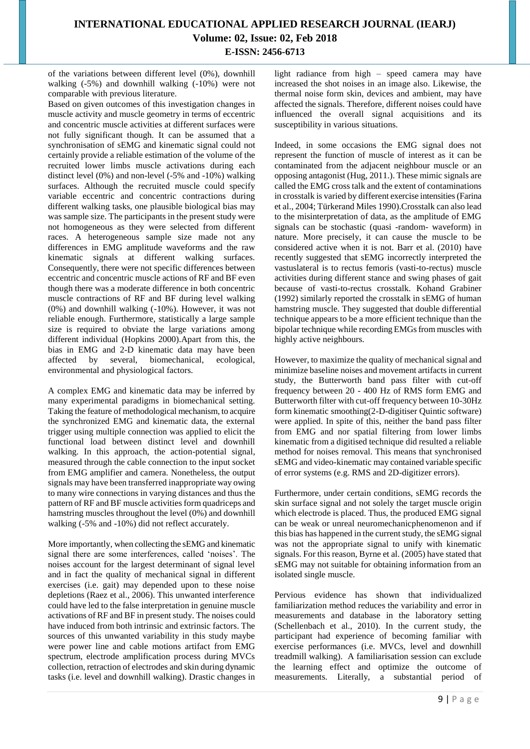of the variations between different level (0%), downhill walking (-5%) and downhill walking (-10%) were not comparable with previous literature.

Based on given outcomes of this investigation changes in muscle activity and muscle geometry in terms of eccentric and concentric muscle activities at different surfaces were not fully significant though. It can be assumed that a synchronisation of sEMG and kinematic signal could not certainly provide a reliable estimation of the volume of the recruited lower limbs muscle activations during each distinct level (0%) and non-level (-5% and -10%) walking surfaces. Although the recruited muscle could specify variable eccentric and concentric contractions during different walking tasks, one plausible biological bias may was sample size. The participants in the present study were not homogeneous as they were selected from different races. A heterogeneous sample size made not any differences in EMG amplitude waveforms and the raw kinematic signals at different walking surfaces. Consequently, there were not specific differences between eccentric and concentric muscle actions of RF and BF even though there was a moderate difference in both concentric muscle contractions of RF and BF during level walking (0%) and downhill walking (-10%). However, it was not reliable enough. Furthermore, statistically a large sample size is required to obviate the large variations among different individual (Hopkins 2000).Apart from this, the bias in EMG and 2-D kinematic data may have been affected by several, biomechanical, ecological, environmental and physiological factors.

A complex EMG and kinematic data may be inferred by many experimental paradigms in biomechanical setting. Taking the feature of methodological mechanism, to acquire the synchronized EMG and kinematic data, the external trigger using multiple connection was applied to elicit the functional load between distinct level and downhill walking. In this approach, the action-potential signal, measured through the cable connection to the input socket from EMG amplifier and camera. Nonetheless, the output signals may have been transferred inappropriate way owing to many wire connections in varying distances and thus the pattern of RF and BF muscle activities form quadriceps and hamstring muscles throughout the level (0%) and downhill walking (-5% and -10%) did not reflect accurately.

More importantly, when collecting the sEMG and kinematic signal there are some interferences, called 'noises'. The noises account for the largest determinant of signal level and in fact the quality of mechanical signal in different exercises (i.e. gait) may depended upon to these noise depletions (Raez et al., 2006). This unwanted interference could have led to the false interpretation in genuine muscle activations of RF and BF in present study. The noises could have induced from both intrinsic and extrinsic factors. The sources of this unwanted variability in this study maybe were power line and cable motions artifact from EMG spectrum, electrode amplification process during MVCs collection, retraction of electrodes and skin during dynamic tasks (i.e. level and downhill walking). Drastic changes in light radiance from high – speed camera may have increased the shot noises in an image also. Likewise, the thermal noise form skin, devices and ambient, may have affected the signals. Therefore, different noises could have influenced the overall signal acquisitions and its susceptibility in various situations.

Indeed, in some occasions the EMG signal does not represent the function of muscle of interest as it can be contaminated from the adjacent neighbour muscle or an opposing antagonist (Hug, 2011.). These mimic signals are called the EMG cross talk and the extent of contaminations in crosstalk is varied by different exercise intensities (Farina et al., 2004; Türkerand Miles 1990).Crosstalk can also lead to the misinterpretation of data, as the amplitude of EMG signals can be stochastic (quasi -random- waveform) in nature. More precisely, it can cause the muscle to be considered active when it is not. Barr et al. (2010) have recently suggested that sEMG incorrectly interpreted the vastuslateral is to rectus femoris (vasti-to-rectus) muscle activities during different stance and swing phases of gait because of vasti-to-rectus crosstalk. Kohand Grabiner (1992) similarly reported the crosstalk in sEMG of human hamstring muscle. They suggested that double differential technique appears to be a more efficient technique than the bipolar technique while recording EMGs from muscles with highly active neighbours.

However, to maximize the quality of mechanical signal and minimize baseline noises and movement artifacts in current study, the Butterworth band pass filter with cut-off frequency between 20 - 400 Hz of RMS form EMG and Butterworth filter with cut-off frequency between 10-30Hz form kinematic smoothing(2-D-digitiser Quintic software) were applied. In spite of this, neither the band pass filter from EMG and nor spatial filtering from lower limbs kinematic from a digitised technique did resulted a reliable method for noises removal. This means that synchronised sEMG and video-kinematic may contained variable specific of error systems (e.g. RMS and 2D-digitizer errors).

Furthermore, under certain conditions, sEMG records the skin surface signal and not solely the target muscle origin which electrode is placed. Thus, the produced EMG signal can be weak or unreal neuromechanicphenomenon and if this bias has happened in the current study, the sEMG signal was not the appropriate signal to unify with kinematic signals. For this reason, Byrne et al. (2005) have stated that sEMG may not suitable for obtaining information from an isolated single muscle.

Pervious evidence has shown that individualized familiarization method reduces the variability and error in measurements and database in the laboratory setting (Schellenbach et al., 2010). In the current study, the participant had experience of becoming familiar with exercise performances (i.e. MVCs, level and downhill treadmill walking). A familiarisation session can exclude the learning effect and optimize the outcome of measurements. Literally, a substantial period of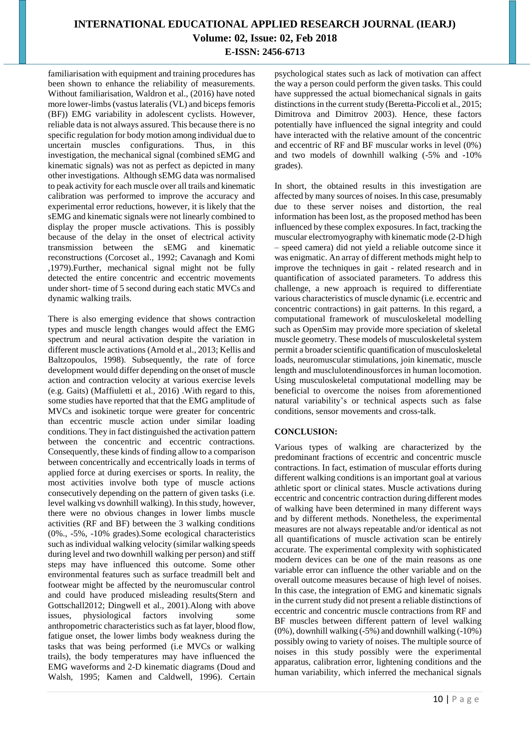familiarisation with equipment and training procedures has been shown to enhance the reliability of measurements. Without familiarisation, Waldron et al., (2016) have noted more lower-limbs (vastus lateralis (VL) and biceps femoris (BF)) EMG variability in adolescent cyclists. However, reliable data is not always assured. This because there is no specific regulation for body motion among individual due to uncertain muscles configurations. Thus, in this investigation, the mechanical signal (combined sEMG and kinematic signals) was not as perfect as depicted in many other investigations. Although sEMG data was normalised to peak activity for each muscle over all trails and kinematic calibration was performed to improve the accuracy and experimental error reductions, however, it is likely that the sEMG and kinematic signals were not linearly combined to display the proper muscle activations. This is possibly because of the delay in the onset of electrical activity transmission between the sEMG and kinematic reconstructions (Corcoset al., 1992; Cavanagh and Komi ,1979).Further, mechanical signal might not be fully detected the entire concentric and eccentric movements under short- time of 5 second during each static MVCs and dynamic walking trails.

There is also emerging evidence that shows contraction types and muscle length changes would affect the EMG spectrum and neural activation despite the variation in different muscle activations (Arnold et al., 2013; Kellis and Baltzopoulos, 1998). Subsequently, the rate of force development would differ depending on the onset of muscle action and contraction velocity at various exercise levels (e.g. Gaits) (Maffiuletti et al., 2016) .With regard to this, some studies have reported that that the EMG amplitude of MVCs and isokinetic torque were greater for concentric than eccentric muscle action under similar loading conditions. They in fact distinguished the activation pattern between the concentric and eccentric contractions. Consequently, these kinds of finding allow to a comparison between concentrically and eccentrically loads in terms of applied force at during exercises or sports. In reality, the most activities involve both type of muscle actions consecutively depending on the pattern of given tasks (i.e. level walking vs downhill walking). In this study, however, there were no obvious changes in lower limbs muscle activities (RF and BF) between the 3 walking conditions (0%., -5%, -10% grades).Some ecological characteristics such as individual walking velocity (similar walking speeds during level and two downhill walking per person) and stiff steps may have influenced this outcome. Some other environmental features such as surface treadmill belt and footwear might be affected by the neuromuscular control and could have produced misleading results(Stern and Gottschall2012; Dingwell et al., 2001).Along with above issues, physiological factors involving some anthropometric characteristics such as fat layer, blood flow, fatigue onset, the lower limbs body weakness during the tasks that was being performed (i.e MVCs or walking trails), the body temperatures may have influenced the EMG waveforms and 2-D kinematic diagrams (Doud and Walsh, 1995; Kamen and Caldwell, 1996). Certain

psychological states such as lack of motivation can affect the way a person could perform the given tasks. This could have suppressed the actual biomechanical signals in gaits distinctions in the current study (Beretta-Piccoli et al., 2015; Dimitrova and Dimitrov 2003). Hence, these factors potentially have influenced the signal integrity and could have interacted with the relative amount of the concentric and eccentric of RF and BF muscular works in level (0%) and two models of downhill walking (-5% and -10% grades).

In short, the obtained results in this investigation are affected by many sources of noises. In this case, presumably due to these server noises and distortion, the real information has been lost, as the proposed method has been influenced by these complex exposures. In fact, tracking the muscular electromyography with kinematic mode (2-D high – speed camera) did not yield a reliable outcome since it was enigmatic. An array of different methods might help to improve the techniques in gait - related research and in quantification of associated parameters. To address this challenge, a new approach is required to differentiate various characteristics of muscle dynamic (i.e. eccentric and concentric contractions) in gait patterns. In this regard, a computational framework of musculoskeletal modelling such as OpenSim may provide more speciation of skeletal muscle geometry. These models of musculoskeletal system permit a broader scientific quantification of musculoskeletal loads, neuromuscular stimulations, join kinematic, muscle length and musclulotendinousforces in human locomotion. Using musculoskeletal computational modelling may be beneficial to overcome the noises from aforementioned natural variability's or technical aspects such as false conditions, sensor movements and cross-talk.

### **CONCLUSION:**

Various types of walking are characterized by the predominant fractions of eccentric and concentric muscle contractions. In fact, estimation of muscular efforts during different walking conditions is an important goal at various athletic sport or clinical states. Muscle activations during eccentric and concentric contraction during different modes of walking have been determined in many different ways and by different methods. Nonetheless, the experimental measures are not always repeatable and/or identical as not all quantifications of muscle activation scan be entirely accurate. The experimental complexity with sophisticated modern devices can be one of the main reasons as one variable error can influence the other variable and on the overall outcome measures because of high level of noises. In this case, the integration of EMG and kinematic signals in the current study did not present a reliable distinctions of eccentric and concentric muscle contractions from RF and BF muscles between different pattern of level walking (0%), downhill walking (-5%) and downhill walking (-10%) possibly owing to variety of noises. The multiple source of noises in this study possibly were the experimental apparatus, calibration error, lightening conditions and the human variability, which inferred the mechanical signals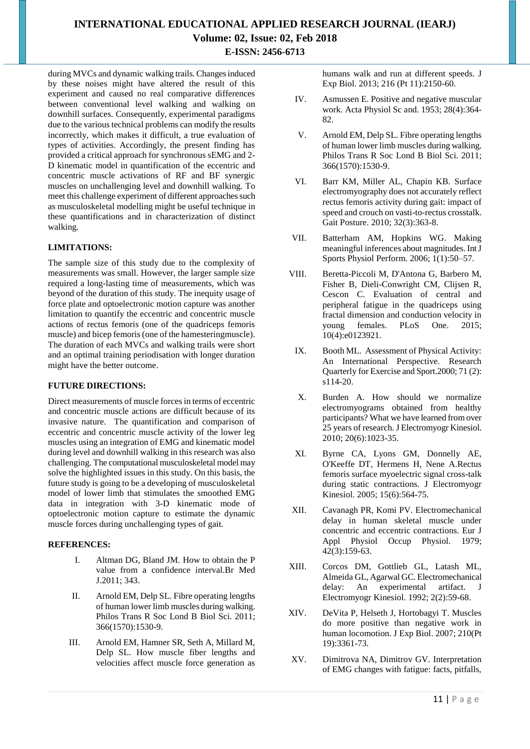during MVCs and dynamic walking trails. Changes induced by these noises might have altered the result of this experiment and caused no real comparative differences between conventional level walking and walking on downhill surfaces. Consequently, experimental paradigms due to the various technical problems can modify the results incorrectly, which makes it difficult, a true evaluation of types of activities. Accordingly, the present finding has provided a critical approach for synchronous sEMG and 2- D kinematic model in quantification of the eccentric and concentric muscle activations of RF and BF synergic muscles on unchallenging level and downhill walking. To meet this challenge experiment of different approaches such as musculoskeletal modelling might be useful technique in these quantifications and in characterization of distinct walking.

### **LIMITATIONS:**

The sample size of this study due to the complexity of measurements was small. However, the larger sample size required a long-lasting time of measurements, which was beyond of the duration of this study. The inequity usage of force plate and optoelectronic motion capture was another limitation to quantify the eccentric and concentric muscle actions of rectus femoris (one of the quadriceps femoris muscle) and bicep femoris (one of the hamesteringmuscle). The duration of each MVCs and walking trails were short and an optimal training periodisation with longer duration might have the better outcome.

### **FUTURE DIRECTIONS:**

Direct measurements of muscle forces in terms of eccentric and concentric muscle actions are difficult because of its invasive nature. The quantification and comparison of eccentric and concentric muscle activity of the lower leg muscles using an integration of EMG and kinematic model during level and downhill walking in this research was also challenging. The computational musculoskeletal model may solve the highlighted issues in this study. On this basis, the future study is going to be a developing of musculoskeletal model of lower limb that stimulates the smoothed EMG data in integration with 3-D kinematic mode of optoelectronic motion capture to estimate the dynamic muscle forces during unchallenging types of gait.

#### **REFERENCES:**

- I. Altman DG, Bland JM. How to obtain the P value from a confidence interval.Br Med J.2011; 343.
- II. Arnold EM, Delp SL. Fibre operating lengths of human lower limb muscles during walking. Philos Trans R Soc Lond B Biol Sci. 2011; 366(1570):1530-9.
- III. Arnold EM, Hamner SR, Seth A, Millard M, Delp SL. How muscle fiber lengths and velocities affect muscle force generation as

humans walk and run at different speeds. J Exp Biol. 2013; 216 (Pt 11):2150-60.

- IV. Asmussen E. Positive and negative muscular work. Acta Physiol Sc and. 1953; 28(4):364- 82.
- V. Arnold EM, Delp SL. Fibre operating lengths of human lower limb muscles during walking. Philos Trans R Soc Lond B Biol Sci. 2011; 366(1570):1530-9.
- VI. Barr KM, Miller AL, Chapin KB. Surface electromyography does not accurately reflect rectus femoris activity during gait: impact of speed and crouch on vasti-to-rectus crosstalk. Gait Posture. 2010; 32(3):363-8.
- VII. Batterham AM, Hopkins WG. Making meaningful inferences about magnitudes. Int J Sports Physiol Perform. 2006; 1(1):50–57.
- VIII. Beretta-Piccoli M, D'Antona G, Barbero M, Fisher B, Dieli-Conwright CM, Clijsen R, Cescon C. Evaluation of central and peripheral fatigue in the quadriceps using fractal dimension and conduction velocity in young females. PLoS One. 2015; 10(4):e0123921.
- IX. Booth ML. Assessment of Physical Activity: An International Perspective. Research Quarterly for Exercise and Sport.2000; 71 (2): s114-20.
- X. Burden A. How should we normalize electromyograms obtained from healthy participants? What we have learned from over 25 years of research.J Electromyogr Kinesiol. 2010; 20(6):1023-35.
- XI. Byrne CA, Lyons GM, Donnelly AE, O'Keeffe DT, Hermens H, Nene A.Rectus femoris surface myoelectric signal cross-talk during static contractions. J Electromyogr Kinesiol. 2005; 15(6):564-75.
- XII. Cavanagh PR, Komi PV. Electromechanical delay in human skeletal muscle under concentric and eccentric contractions. Eur J Appl Physiol Occup Physiol. 1979; 42(3):159-63.
- XIII. Corcos DM, Gottlieb GL, Latash ML, Almeida GL, Agarwal GC. Electromechanical delay: An experimental artifact. J Electromyogr Kinesiol. 1992; 2(2):59-68.
- XIV. DeVita P, Helseth J, Hortobagyi T. Muscles do more positive than negative work in human locomotion. J Exp Biol. 2007; 210(Pt 19):3361-73.
- XV. Dimitrova NA, Dimitrov GV. Interpretation of EMG changes with fatigue: facts, pitfalls,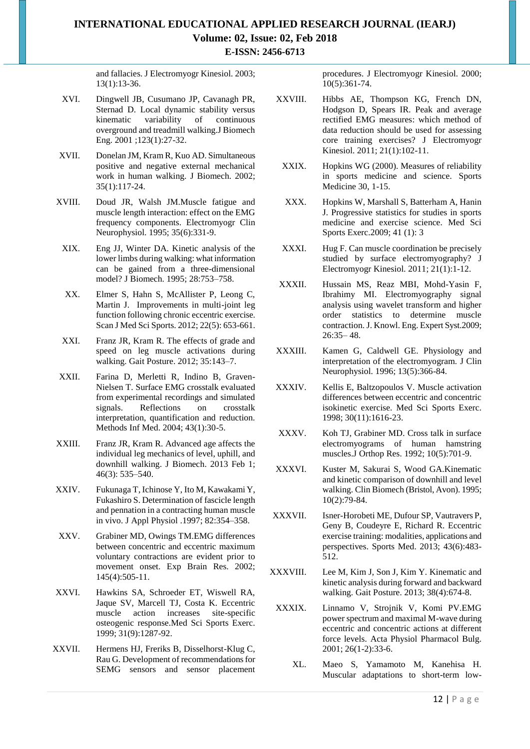and fallacies. J Electromyogr Kinesiol. 2003; 13(1):13-36.

- XVI. Dingwell JB, Cusumano JP, Cavanagh PR, Sternad D. Local dynamic stability versus kinematic variability of continuous overground and treadmill walking.J Biomech Eng. 2001 ;123(1):27-32.
- XVII. Donelan JM, Kram R, Kuo AD. Simultaneous positive and negative external mechanical work in human walking. J Biomech. 2002; 35(1):117-24.
- XVIII. Doud JR, Walsh JM.Muscle fatigue and muscle length interaction: effect on the EMG frequency components. Electromyogr Clin Neurophysiol. 1995; 35(6):331-9.
- XIX. Eng JJ, Winter DA. Kinetic analysis of the lower limbs during walking: what information can be gained from a three-dimensional model? J Biomech. 1995; 28:753–758.
- XX. Elmer S, Hahn S, McAllister P, Leong C, Martin J. Improvements in multi-joint leg function following chronic eccentric exercise. Scan J Med Sci Sports. 2012; 22(5): 653-661.
- XXI. Franz JR, Kram R. The effects of grade and speed on leg muscle activations during walking. Gait Posture. 2012; 35:143–7.
- XXII. Farina D, Merletti R, Indino B, Graven-Nielsen T. Surface EMG crosstalk evaluated from experimental recordings and simulated signals. Reflections on crosstalk interpretation, quantification and reduction. Methods Inf Med. 2004; 43(1):30-5.
- XXIII. Franz JR, Kram R. Advanced age affects the individual leg mechanics of level, uphill, and downhill walking. J Biomech. 2013 Feb 1; 46(3): 535–540.
- XXIV. Fukunaga T, Ichinose Y, Ito M, Kawakami Y, Fukashiro S. Determination of fascicle length and pennation in a contracting human muscle in vivo. J Appl Physiol .1997; 82:354–358.
- XXV. Grabiner MD, Owings TM.EMG differences between concentric and eccentric maximum voluntary contractions are evident prior to movement onset. Exp Brain Res. 2002; 145(4):505-11.
- XXVI. Hawkins SA, Schroeder ET, Wiswell RA, Jaque SV, Marcell TJ, Costa K. Eccentric muscle action increases site-specific osteogenic response.Med Sci Sports Exerc. 1999; 31(9):1287-92.
- XXVII. Hermens HJ, Freriks B, Disselhorst-Klug C, Rau G. Development of recommendations for SEMG sensors and sensor placement

procedures. J Electromyogr Kinesiol. 2000; 10(5):361-74.

- XXVIII. Hibbs AE, Thompson KG, French DN, Hodgson D, Spears IR. Peak and average rectified EMG measures: which method of data reduction should be used for assessing core training exercises? J Electromyogr Kinesiol. 2011; 21(1):102-11.
	- XXIX. Hopkins WG (2000). Measures of reliability in sports medicine and science. Sports Medicine 30, 1-15.
	- XXX. Hopkins W, Marshall S, Batterham A, Hanin J. Progressive statistics for studies in sports medicine and exercise science. Med Sci Sports Exerc.2009; 41 (1): 3
- XXXI. Hug F. Can muscle coordination be precisely studied by surface electromyography? J Electromyogr Kinesiol. 2011; 21(1):1-12.
- XXXII. Hussain MS, Reaz MBI, Mohd-Yasin F, Ibrahimy MI. Electromyography signal analysis using wavelet transform and higher order statistics to determine muscle contraction. J. Knowl. Eng. Expert Syst.2009; 26:35– 48.
- XXXIII. Kamen G, Caldwell GE. Physiology and interpretation of the electromyogram. J Clin Neurophysiol. 1996; 13(5):366-84.
- XXXIV. Kellis E, Baltzopoulos V. Muscle activation differences between eccentric and concentric isokinetic exercise. Med Sci Sports Exerc. 1998; 30(11):1616-23.
- XXXV. Koh TJ, Grabiner MD. Cross talk in surface electromyograms of human hamstring muscles.J Orthop Res. 1992; 10(5):701-9.
- XXXVI. Kuster M, Sakurai S, Wood GA.Kinematic and kinetic comparison of downhill and level walking. Clin Biomech (Bristol, Avon). 1995; 10(2):79-84.
- XXXVII. Isner-Horobeti ME, Dufour SP, Vautravers P, Geny B, Coudeyre E, Richard R. Eccentric exercise training: modalities, applications and perspectives. Sports Med. 2013; 43(6):483- 512.
- XXXVIII. Lee M, Kim J, Son J, Kim Y. Kinematic and kinetic analysis during forward and backward walking. Gait Posture. 2013; 38(4):674-8.
- XXXIX. Linnamo V, Strojnik V, Komi PV.EMG power spectrum and maximal M-wave during eccentric and concentric actions at different force levels. Acta Physiol Pharmacol Bulg. 2001; 26(1-2):33-6.
	- XL. Maeo S, Yamamoto M, Kanehisa H. Muscular adaptations to short-term low-